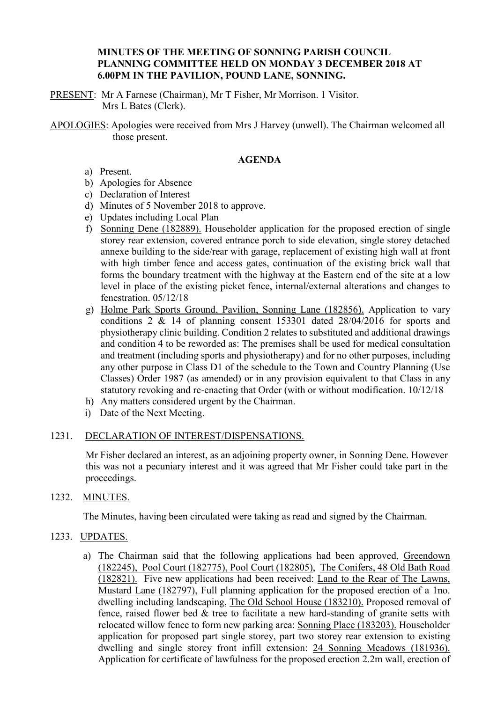# **MINUTES OF THE MEETING OF SONNING PARISH COUNCIL PLANNING COMMITTEE HELD ON MONDAY 3 DECEMBER 2018 AT 6.00PM IN THE PAVILION, POUND LANE, SONNING.**

PRESENT: Mr A Farnese (Chairman), Mr T Fisher, Mr Morrison. 1 Visitor. Mrs L Bates (Clerk).

APOLOGIES: Apologies were received from Mrs J Harvey (unwell). The Chairman welcomed all those present.

# **AGENDA**

- a) Present.
- b) Apologies for Absence
- c) Declaration of Interest
- d) Minutes of 5 November 2018 to approve.
- e) Updates including Local Plan
- f) Sonning Dene (182889). Householder application for the proposed erection of single storey rear extension, covered entrance porch to side elevation, single storey detached annexe building to the side/rear with garage, replacement of existing high wall at front with high timber fence and access gates, continuation of the existing brick wall that forms the boundary treatment with the highway at the Eastern end of the site at a low level in place of the existing picket fence, internal/external alterations and changes to fenestration. 05/12/18
- g) Holme Park Sports Ground, Pavilion, Sonning Lane (182856). Application to vary conditions 2 & 14 of planning consent 153301 dated 28/04/2016 for sports and physiotherapy clinic building. Condition 2 relates to substituted and additional drawings and condition 4 to be reworded as: The premises shall be used for medical consultation and treatment (including sports and physiotherapy) and for no other purposes, including any other purpose in Class D1 of the schedule to the Town and Country Planning (Use Classes) Order 1987 (as amended) or in any provision equivalent to that Class in any statutory revoking and re-enacting that Order (with or without modification. 10/12/18
- h) Any matters considered urgent by the Chairman.
- i) Date of the Next Meeting.

### 1231. DECLARATION OF INTEREST/DISPENSATIONS.

Mr Fisher declared an interest, as an adjoining property owner, in Sonning Dene. However this was not a pecuniary interest and it was agreed that Mr Fisher could take part in the proceedings.

#### 1232. MINUTES.

The Minutes, having been circulated were taking as read and signed by the Chairman.

#### 1233. UPDATES.

a) The Chairman said that the following applications had been approved, Greendown (182245), Pool Court (182775), Pool Court (182805), The Conifers, 48 Old Bath Road (182821). Five new applications had been received: Land to the Rear of The Lawns, Mustard Lane (182797), Full planning application for the proposed erection of a 1no. dwelling including landscaping, The Old School House (183210). Proposed removal of fence, raised flower bed & tree to facilitate a new hard-standing of granite setts with relocated willow fence to form new parking area: Sonning Place (183203). Householder application for proposed part single storey, part two storey rear extension to existing dwelling and single storey front infill extension: 24 Sonning Meadows (181936). Application for certificate of lawfulness for the proposed erection 2.2m wall, erection of